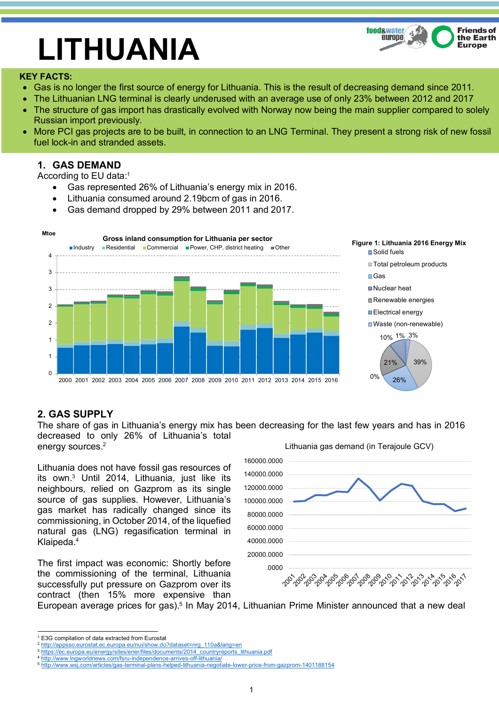

# **LITHUANIA**

### **KEY FACTS:**

- Gas is no longer the first source of energy for Lithuania. This is the result of decreasing demand since 2011.
- The Lithuanian LNG terminal is clearly underused with an average use of only 23% between 2012 and 2017
- The structure of gas import has drastically evolved with Norway now being the main supplier compared to solely Russian import previously.
- More PCI gas projects are to be built, in connection to an LNG Terminal. They present a strong risk of new fossil fuel lock-in and stranded assets.

## **1. GAS DEMAND**

According to EU data:1

- Gas represented 26% of Lithuania's energy mix in 2016.
- Lithuania consumed around 2.19bcm of gas in 2016.
- Gas demand dropped by 29% between 2011 and 2017.



# **2. GAS SUPPLY**

The share of gas in Lithuania's energy mix has been decreasing for the last few years and has in 2016 decreased to only 26% of Lithuania's total energy sources.<sup>2</sup> Lithuania gas demand (in Terajoule GCV)

Lithuania does not have fossil gas resources of its own.3 Until 2014, Lithuania, just like its neighbours, relied on Gazprom as its single source of gas supplies. However, Lithuania's gas market has radically changed since its commissioning, in October 2014, of the liquefied natural gas (LNG) regasification terminal in Klaipeda.4

The first impact was economic: Shortly before the commissioning of the terminal, Lithuania successfully put pressure on Gazprom over its contract (then 15% more expensive than



European average prices for gas).<sup>5</sup> In May 2014, Lithuanian Prime Minister announced that a new deal

 <sup>1</sup> E3G compilation of data extracted from Eurostat

<sup>2</sup> http://appsso.eurostat.ec.europa.eu/nui/show.do?dataset=nrg\_110a&lang=en

<sup>3</sup> https://ec.europa.eu/energy/sites/ener/files/documents/2014\_countryreports\_lithuania.pdf

http://www.lngworldnews.com/fsru-independence-arrives-off-lithuania/

<sup>5</sup> http://www.wsj.com/articles/gas-terminal-plans-helped-lithuania-negotiate-lower-price-from-gazprom-1401188154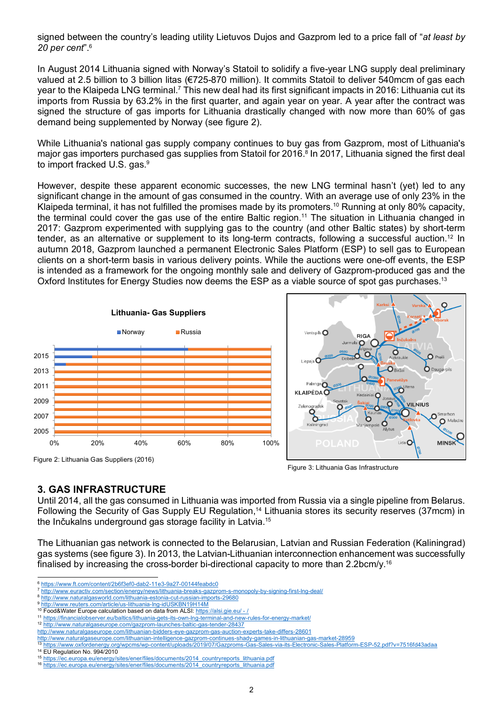signed between the country's leading utility Lietuvos Dujos and Gazprom led to a price fall of "*at least by 20 per cent*".6

In August 2014 Lithuania signed with Norway's Statoil to solidify a five-year LNG supply deal preliminary valued at 2.5 billion to 3 billion litas (€725-870 million). It commits Statoil to deliver 540mcm of gas each year to the Klaipeda LNG terminal.<sup>7</sup> This new deal had its first significant impacts in 2016: Lithuania cut its imports from Russia by 63.2% in the first quarter, and again year on year. A year after the contract was signed the structure of gas imports for Lithuania drastically changed with now more than 60% of gas demand being supplemented by Norway (see figure 2).

While Lithuania's national gas supply company continues to buy gas from Gazprom, most of Lithuania's major gas importers purchased gas supplies from Statoil for 2016. <sup>8</sup> In 2017, Lithuania signed the first deal to import fracked U.S. gas.<sup>9</sup>

However, despite these apparent economic successes, the new LNG terminal hasn't (yet) led to any significant change in the amount of gas consumed in the country. With an average use of only 23% in the Klaipeda terminal, it has not fulfilled the promises made by its promoters. <sup>10</sup> Running at only 80% capacity, the terminal could cover the gas use of the entire Baltic region.<sup>11</sup> The situation in Lithuania changed in 2017: Gazprom experimented with supplying gas to the country (and other Baltic states) by short-term tender, as an alternative or supplement to its long-term contracts, following a successful auction.<sup>12</sup> In autumn 2018, Gazprom launched a permanent Electronic Sales Platform (ESP) to sell gas to European clients on a short-term basis in various delivery points. While the auctions were one-off events, the ESP is intended as a framework for the ongoing monthly sale and delivery of Gazprom-produced gas and the Oxford Institutes for Energy Studies now deems the ESP as a viable source of spot gas purchases.<sup>13</sup>



## Figure 3: Lithuania Gas Infrastructure

### **3. GAS INFRASTRUCTURE**

Until 2014, all the gas consumed in Lithuania was imported from Russia via a single pipeline from Belarus. Following the Security of Gas Supply EU Regulation,<sup>14</sup> Lithuania stores its security reserves (37mcm) in the Inčukalns underground gas storage facility in Latvia.15

The Lithuanian gas network is connected to the Belarusian, Latvian and Russian Federation (Kaliningrad) gas systems (see figure 3). In 2013, the Latvian-Lithuanian interconnection enhancement was successfully finalised by increasing the cross-border bi-directional capacity to more than 2.2bcm/y.<sup>16</sup>

 <sup>6</sup> https://www.ft.com/content/2b6f3ef0-dab2-11e3-9a27-00144feabdc0

<sup>7</sup> http://www.euractiv.com/section/energy/news/lithuania-breaks-gazprom-s-monopoly-by-signing-first-lng-deal/

<sup>8</sup> http://www.naturalgasworld.com/lithuania-estonia-cut-russian-imports-29680

http://www.reuters.com/article/us-lithuania-lng-idUSKBN19H14M 10 Food&Water Europe calculation based on data from ALSI: https://alsi.gie.eu/ - /

<sup>11</sup> https://financialobserver.eu/baltics/lithuania-gets-its-own-lng-terminal-and-new-rules-for-energy-market/

<sup>12</sup> http://www.naturalgaseurope.com/gazprom-launches-baltic-gas-tender-28437

http://www.naturalgaseurope.com/lithuanian-bidders-eye-gazprom-gas-auction-experts-take-differs-28601 http://www.naturalgaseurope.com/lithuanian-intelligence-gazprom-continues-shady-games-in-lithuanian-gas-market-28959

<sup>13</sup> https://www.oxfordenergy.org/wpcms/wp-content/uploads/2019/07/Gazproms-Gas-Sales-via-its-Electronic-Sales-Platform-ESP-52.pdf?v=7516fd43adaa

<sup>&</sup>lt;sup>14</sup> EU Regulation No. 994/2010<br><sup>15</sup> https://ec.europa.eu/energy/si lationary/files/documents/2014\_countryreports

<sup>16</sup> https://ec.europa.eu/energy/sites/ener/files/documents/2014\_countryreports\_lithuania.pdf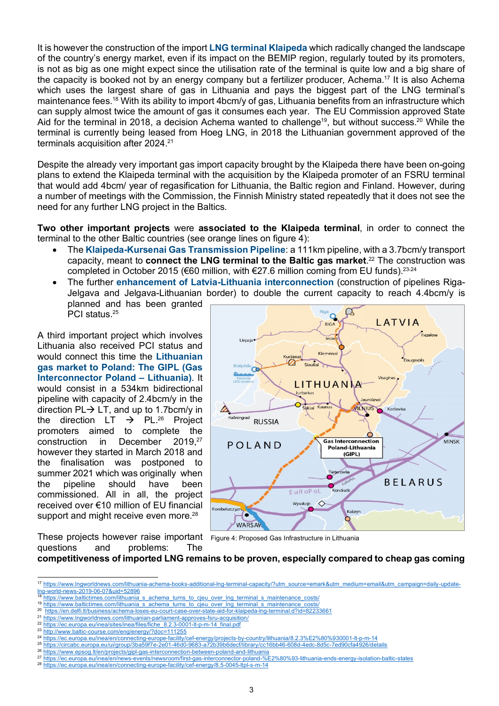It is however the construction of the import **LNG terminal Klaipeda** which radically changed the landscape of the country's energy market, even if its impact on the BEMIP region, regularly touted by its promoters, is not as big as one might expect since the utilisation rate of the terminal is quite low and a big share of the capacity is booked not by an energy company but a fertilizer producer, Achema. <sup>17</sup> It is also Achema which uses the largest share of gas in Lithuania and pays the biggest part of the LNG terminal's maintenance fees.18 With its ability to import 4bcm/y of gas, Lithuania benefits from an infrastructure which can supply almost twice the amount of gas it consumes each year. The EU Commission approved State Aid for the terminal in 2018, a decision Achema wanted to challenge<sup>19</sup>, but without success.<sup>20</sup> While the terminal is currently being leased from Hoeg LNG, in 2018 the Lithuanian government approved of the terminals acquisition after 2024. 21

Despite the already very important gas import capacity brought by the Klaipeda there have been on-going plans to extend the Klaipeda terminal with the acquisition by the Klaipeda promoter of an FSRU terminal that would add 4bcm/ year of regasification for Lithuania, the Baltic region and Finland. However, during a number of meetings with the Commission, the Finnish Ministry stated repeatedly that it does not see the need for any further LNG project in the Baltics.

**Two other important projects** were **associated to the Klaipeda terminal**, in order to connect the terminal to the other Baltic countries (see orange lines on figure 4):

- The **Klaipeda-Kursenai Gas Transmission Pipeline**: a 111km pipeline, with a 3.7bcm/y transport capacity, meant to **connect the LNG terminal to the Baltic gas market**. <sup>22</sup> The construction was completed in October 2015 (€60 million, with €27.6 million coming from EU funds).<sup>23,24</sup>
- The further **enhancement of Latvia-Lithuania interconnection** (construction of pipelines Riga-Jelgava and Jelgava-Lithuanian border) to double the current capacity to reach 4.4bcm/y is planned and has been granted PCI status.<sup>25</sup>

A third important project which involves Lithuania also received PCI status and would connect this time the **Lithuanian gas market to Poland: The GIPL (Gas Interconnector Poland – Lithuania)**. It would consist in a 534km bidirectional pipeline with capacity of 2.4bcm/y in the direction  $PL \rightarrow LT$ , and up to 1.7bcm/y in the direction LT  $\rightarrow$  PL.<sup>26</sup> Project promoters aimed to complete the construction in December 2019.27 however they started in March 2018 and the finalisation was postponed to summer 2021 which was originally when the pipeline should have been commissioned. All in all, the project received over €10 million of EU financial support and might receive even more.<sup>28</sup>



These projects however raise important Figure 4: Proposed Gas Infrastructure in Lithuaniaquestions and problems: The

**competitiveness of imported LNG remains to be proven, especially compared to cheap gas coming** 

<sup>17</sup> https://www.lngworldnews.com/lithuania-achema-books-additional-lng-terminal-capacity/?utm\_source=emark&utm\_medium=email&utm\_campaign=daily-updatelng-world-news-2019-06-07&uid=52896

https://www.baltictimes.com/lithuania\_s\_achema\_turns\_to\_cjeu\_over\_lng\_terminal\_s\_maintenance\_costs/

<sup>19</sup> https://www.baltictimes.com/lithuania\_s\_achema\_turns\_to\_cjeu\_over\_lng\_terminal\_s\_maintenance\_costs/<br>20 https://on.delfi.tt/business/achema-loses-eu-court-case-over-state-aid-for-klaineda-lng-terminal\_d?id=82233661

<sup>20</sup> https://en.delfi.lt/business/achema-loses-eu-court-case-over-state-aid-for-klaipeda-lng-terminal.d?id=82

<sup>21</sup> https://www.lngworldnews.com/lithuanian-parliament-approves-fsru-acquisition/ 22 https://ec.europa.eu/inea/sites/inea/files/fiche\_8.2.3-0001-lt-p-m-14\_final.pdf

<sup>23</sup> http://www.baltic-course.com/eng/energy/?doc=111255

<sup>24</sup> https://ec.europa.eu/inea/en/connecting-europe-facility/cef-energy/projects-by-country/lithuania/8.2.3%E2%80%930001-lt-p-m-14

<sup>25</sup> https://circabc.europa.eu/ui/group/3ba59f7e-2e01-46d0-9683-a72b39b6decf/library/cc16bb46-608d-4edc-8d5c-7ed90cfa4926/details

<sup>26</sup> https://www.epsog.lt/en/projects/gipl-gas-interconnection-between-poland-and-lithuania<br>27 https://ec.europa.eu/inea/en/pews-events/pewsroom/first-gas-interconnector-poland-%

<sup>27</sup> https://ec.europa.eu/inea/en/news-events/newsroom/first-gas-interconnector-poland-%E2%80%93-lithuania-ends-energy-isolation-baltic-states

<sup>28</sup> https://ec.europa.eu/inea/en/connecting-europe-facility/cef-energy/8.5-0045-ltpl-s-m-14